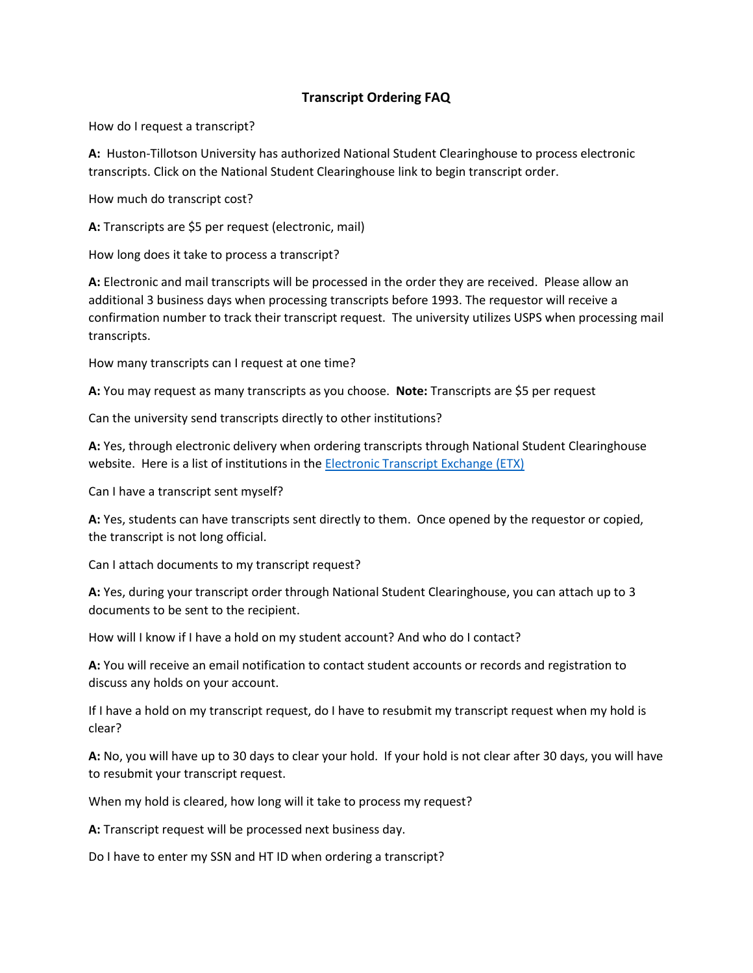## **Transcript Ordering FAQ**

How do I request a transcript?

**A:** Huston-Tillotson University has authorized National Student Clearinghouse to process electronic transcripts. Click on the National Student Clearinghouse link to begin transcript order.

How much do transcript cost?

**A:** Transcripts are \$5 per request (electronic, mail)

How long does it take to process a transcript?

**A:** Electronic and mail transcripts will be processed in the order they are received. Please allow an additional 3 business days when processing transcripts before 1993. The requestor will receive a confirmation number to track their transcript request. The university utilizes USPS when processing mail transcripts.

How many transcripts can I request at one time?

**A:** You may request as many transcripts as you choose. **Note:** Transcripts are \$5 per request

Can the university send transcripts directly to other institutions?

**A:** Yes, through electronic delivery when ordering transcripts through National Student Clearinghouse website. Here is a list of institutions in the [Electronic Transcript Exchange \(ETX\)](https://www.studentclearinghouse.org/colleges/etx-registry/)

Can I have a transcript sent myself?

**A:** Yes, students can have transcripts sent directly to them. Once opened by the requestor or copied, the transcript is not long official.

Can I attach documents to my transcript request?

**A:** Yes, during your transcript order through National Student Clearinghouse, you can attach up to 3 documents to be sent to the recipient.

How will I know if I have a hold on my student account? And who do I contact?

**A:** You will receive an email notification to contact student accounts or records and registration to discuss any holds on your account.

If I have a hold on my transcript request, do I have to resubmit my transcript request when my hold is clear?

**A:** No, you will have up to 30 days to clear your hold. If your hold is not clear after 30 days, you will have to resubmit your transcript request.

When my hold is cleared, how long will it take to process my request?

**A:** Transcript request will be processed next business day.

Do I have to enter my SSN and HT ID when ordering a transcript?